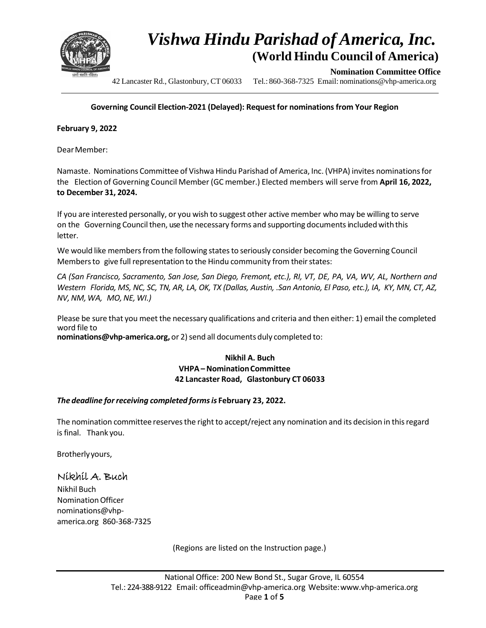

**Nomination Committee Office**

42 Lancaster Rd., Glastonbury, CT 06033 Tel.: 860-368-7325 Email: nominations@vhp-america.org

#### **Governing Council Election-2021 (Delayed): Request for nominationsfrom Your Region**

**February 9, 2022**

DearMember:

Namaste. Nominations Committee of Vishwa Hindu Parishad of America, Inc. (VHPA) invites nominationsfor the Election of Governing Council Member (GC member.) Elected members will serve from **April 16, 2022, to December 31, 2024.**

If you are interested personally, or you wish to suggest other active member who may be willing to serve on the Governing Council then, use the necessary forms and supporting documents included with this letter.

We would like members from the following states to seriously consider becoming the Governing Council Members to give full representation to the Hindu community from their states:

CA (San Francisco, Sacramento, San Jose, San Diego, Fremont, etc.), RI, VT, DE, PA, VA, WV, AL, Northern and Western Florida, MS, NC, SC, TN, AR, LA, OK, TX (Dallas, Austin, .San Antonio, El Paso, etc.), IA, KY, MN, CT, AZ, *NV, NM, WA, MO,NE, WI.)*

Please be sure that you meet the necessary qualifications and criteria and then either: 1) email the completed word file to

**nominations@vhp-america.org,** or 2) send all documents duly completed to:

#### **Nikhil A. Buch VHPA–NominationCommittee 42 Lancaster Road, Glastonbury CT 06033**

#### *The deadline forreceiving completed formsis* **February 23, 2022.**

The nomination committee reserves the right to accept/reject any nomination and its decision in this regard isfinal. Thank you.

Brotherlyyours,

### Nikhil A. Buch

Nikhil Buch NominationOfficer nominations@vhpamerica.org 860-368-7325

(Regions are listed on the Instruction page.)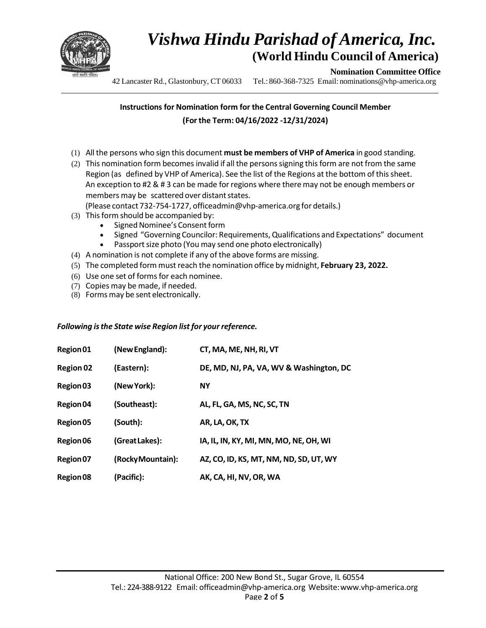

**Nomination Committee Office**

42 Lancaster Rd., Glastonbury, CT 06033 Tel.: 860-368-7325 Email: nominations@vhp-america.org

### **Instructions for Nomination form for the Central Governing Council Member (Forthe Term: 04/16/2022 -12/31/2024)**

- (1) Allthe persons who sign this document **must be members of VHP of America** in good standing.
- (2) This nomination form becomes invalid if all the persons signing this form are not from the same Region (as defined by VHP of America). See the list of the Regions at the bottom of this sheet. An exception to #2 & # 3 can be made forregions where there may not be enough members or members may be scattered over distant states.

(Please contact 732-754-1727, officeadmin@vhp-america.org for details.)

- (3) This form should be accompanied by:
	- Signed Nominee's Consent form
	- Signed "Governing Councilor: Requirements,Qualifications and Expectations" document
	- Passport size photo (You may send one photo electronically)
- (4) A nomination is not complete if any of the above forms are missing.
- (5) The completed form must reach the nomination office by midnight, **February 23, 2022.**
- (6) Use one set of forms for each nominee.
- (7) Copies may be made, if needed.
- (8) Forms may be sent electronically.

#### *Following isthe State wise Region list for your reference.*

| Region 01 | (New England):    | CT, MA, ME, NH, RI, VT                  |
|-----------|-------------------|-----------------------------------------|
| Region 02 | (Eastern):        | DE, MD, NJ, PA, VA, WV & Washington, DC |
| Region 03 | (New York):       | <b>NY</b>                               |
| Region 04 | (Southeast):      | AL, FL, GA, MS, NC, SC, TN              |
| Region 05 | (South):          | AR, LA, OK, TX                          |
| Region 06 | (Great Lakes):    | IA, IL, IN, KY, MI, MN, MO, NE, OH, WI  |
| Region 07 | (Rocky Mountain): | AZ, CO, ID, KS, MT, NM, ND, SD, UT, WY  |
| Region 08 | (Pacific):        | AK, CA, HI, NV, OR, WA                  |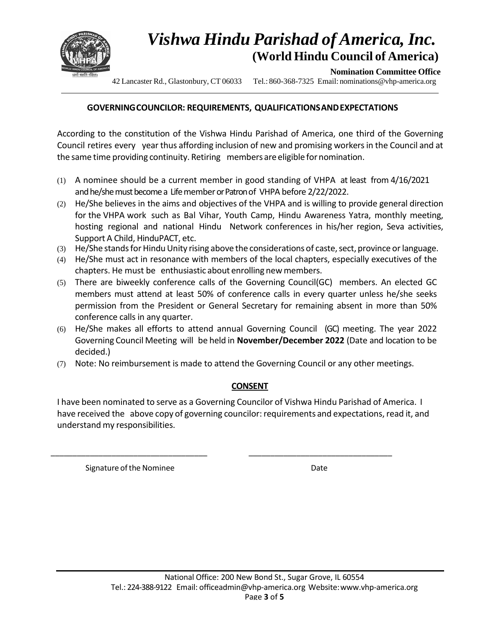

**Nomination Committee Office**

42 Lancaster Rd., Glastonbury, CT 06033 Tel.: 860-368-7325 Email: nominations@vhp-america.org

### **GOVERNINGCOUNCILOR: REQUIREMENTS, QUALIFICATIONSANDEXPECTATIONS**

According to the constitution of the Vishwa Hindu Parishad of America, one third of the Governing Council retires every year thus affording inclusion of new and promising workersin the Council and at the same time providing continuity. Retiring members are eligible for nomination.

- (1) A nominee should be a current member in good standing of VHPA at least from 4/16/2021 and he/she must become a Life member or Patron of VHPA before 2/22/2022.
- (2) He/She believes in the aims and objectives of the VHPA and is willing to provide general direction for the VHPA work such as Bal Vihar, Youth Camp, Hindu Awareness Yatra, monthly meeting, hosting regional and national Hindu Network conferences in his/her region, Seva activities, Support A Child, HinduPACT, etc.
- (3) He/She stands for Hindu Unity rising above the considerations of caste, sect, province or language.
- (4) He/She must act in resonance with members of the local chapters, especially executives of the chapters. He must be enthusiastic about enrolling new members.
- (5) There are biweekly conference calls of the Governing Council(GC) members. An elected GC members must attend at least 50% of conference calls in every quarter unless he/she seeks permission from the President or General Secretary for remaining absent in more than 50% conference calls in any quarter.
- (6) He/She makes all efforts to attend annual Governing Council (GC) meeting. The year 2022 Governing Council Meeting will be held in **November/December 2022** (Date and location to be decided.)
- (7) Note: No reimbursement is made to attend the Governing Council or any other meetings.

### **CONSENT**

I have been nominated to serve as a Governing Councilor of Vishwa Hindu Parishad of America. I have received the above copy of governing councilor: requirements and expectations, read it, and understand my responsibilities.

\_\_\_\_\_\_\_\_\_\_\_\_\_\_\_\_\_\_\_\_\_\_\_\_\_\_\_\_\_\_\_\_\_\_\_\_ \_\_\_\_\_\_\_\_\_\_\_\_\_\_\_\_\_\_\_\_\_\_\_\_\_\_\_\_\_\_\_\_\_

Signature of the Nominee **Date** Date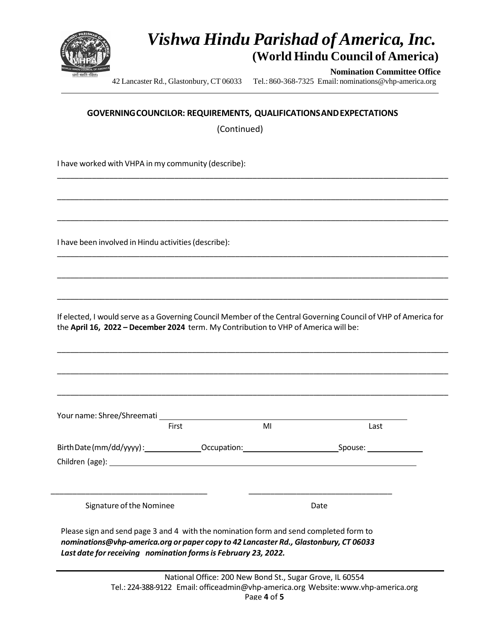

**Nomination Committee Office**

42 Lancaster Rd., Glastonbury, CT 06033 Tel.: 860-368-7325 Email: nominations@vhp-america.org

#### **GOVERNINGCOUNCILOR: REQUIREMENTS, QUALIFICATIONSANDEXPECTATIONS**

\_\_\_\_\_\_\_\_\_\_\_\_\_\_\_\_\_\_\_\_\_\_\_\_\_\_\_\_\_\_\_\_\_\_\_\_\_\_\_\_\_\_\_\_\_\_\_\_\_\_\_\_\_\_\_\_\_\_\_\_\_\_\_\_\_\_\_\_\_\_\_\_\_\_\_\_\_\_\_\_\_\_\_\_\_\_\_\_\_\_

\_\_\_\_\_\_\_\_\_\_\_\_\_\_\_\_\_\_\_\_\_\_\_\_\_\_\_\_\_\_\_\_\_\_\_\_\_\_\_\_\_\_\_\_\_\_\_\_\_\_\_\_\_\_\_\_\_\_\_\_\_\_\_\_\_\_\_\_\_\_\_\_\_\_\_\_\_\_\_\_\_\_\_\_\_\_\_\_\_\_

\_\_\_\_\_\_\_\_\_\_\_\_\_\_\_\_\_\_\_\_\_\_\_\_\_\_\_\_\_\_\_\_\_\_\_\_\_\_\_\_\_\_\_\_\_\_\_\_\_\_\_\_\_\_\_\_\_\_\_\_\_\_\_\_\_\_\_\_\_\_\_\_\_\_\_\_\_\_\_\_\_\_\_\_\_\_\_\_\_\_

\_\_\_\_\_\_\_\_\_\_\_\_\_\_\_\_\_\_\_\_\_\_\_\_\_\_\_\_\_\_\_\_\_\_\_\_\_\_\_\_\_\_\_\_\_\_\_\_\_\_\_\_\_\_\_\_\_\_\_\_\_\_\_\_\_\_\_\_\_\_\_\_\_\_\_\_\_\_\_\_\_\_\_\_\_\_\_\_\_\_

\_\_\_\_\_\_\_\_\_\_\_\_\_\_\_\_\_\_\_\_\_\_\_\_\_\_\_\_\_\_\_\_\_\_\_\_\_\_\_\_\_\_\_\_\_\_\_\_\_\_\_\_\_\_\_\_\_\_\_\_\_\_\_\_\_\_\_\_\_\_\_\_\_\_\_\_\_\_\_\_\_\_\_\_\_\_\_\_\_\_

\_\_\_\_\_\_\_\_\_\_\_\_\_\_\_\_\_\_\_\_\_\_\_\_\_\_\_\_\_\_\_\_\_\_\_\_\_\_\_\_\_\_\_\_\_\_\_\_\_\_\_\_\_\_\_\_\_\_\_\_\_\_\_\_\_\_\_\_\_\_\_\_\_\_\_\_\_\_\_\_\_\_\_\_\_\_\_\_\_\_

(Continued)

I have worked with VHPA in my community (describe):

I have been involved in Hindu activities(describe):

If elected, I would serve as a Governing Council Member of the Central Governing Council of VHP of America for the **April 16, 2022 – December 2024** term. My Contribution to VHP of America will be:

\_\_\_\_\_\_\_\_\_\_\_\_\_\_\_\_\_\_\_\_\_\_\_\_\_\_\_\_\_\_\_\_\_\_\_\_\_\_\_\_\_\_\_\_\_\_\_\_\_\_\_\_\_\_\_\_\_\_\_\_\_\_\_\_\_\_\_\_\_\_\_\_\_\_\_\_\_\_\_\_\_\_\_\_\_\_\_\_\_\_

\_\_\_\_\_\_\_\_\_\_\_\_\_\_\_\_\_\_\_\_\_\_\_\_\_\_\_\_\_\_\_\_\_\_\_\_\_\_\_\_\_\_\_\_\_\_\_\_\_\_\_\_\_\_\_\_\_\_\_\_\_\_\_\_\_\_\_\_\_\_\_\_\_\_\_\_\_\_\_\_\_\_\_\_\_\_\_\_\_\_

\_\_\_\_\_\_\_\_\_\_\_\_\_\_\_\_\_\_\_\_\_\_\_\_\_\_\_\_\_\_\_\_\_\_\_\_\_\_\_\_\_\_\_\_\_\_\_\_\_\_\_\_\_\_\_\_\_\_\_\_\_\_\_\_\_\_\_\_\_\_\_\_\_\_\_\_\_\_\_\_\_\_\_\_\_\_\_\_\_\_

| Your name: Shree/Shreemati                                                                                                                                                                                                                                 |       |    |      |  |
|------------------------------------------------------------------------------------------------------------------------------------------------------------------------------------------------------------------------------------------------------------|-------|----|------|--|
|                                                                                                                                                                                                                                                            | First | MI | Last |  |
| Birth Date (mm/dd/yyyy):<br>Children (age): Note and the set of the set of the set of the set of the set of the set of the set of the set of the set of the set of the set of the set of the set of the set of the set of the set of the set of the set of |       |    |      |  |
| Signature of the Nominee                                                                                                                                                                                                                                   |       |    | Date |  |

Please sign and send page 3 and 4 with the nomination form and send completed form to *nominations@vhp-america.org or paper copy to 42 Lancaster Rd., Glastonbury, CT 06033 Last date forreceiving nomination formsis February 23, 2022.*